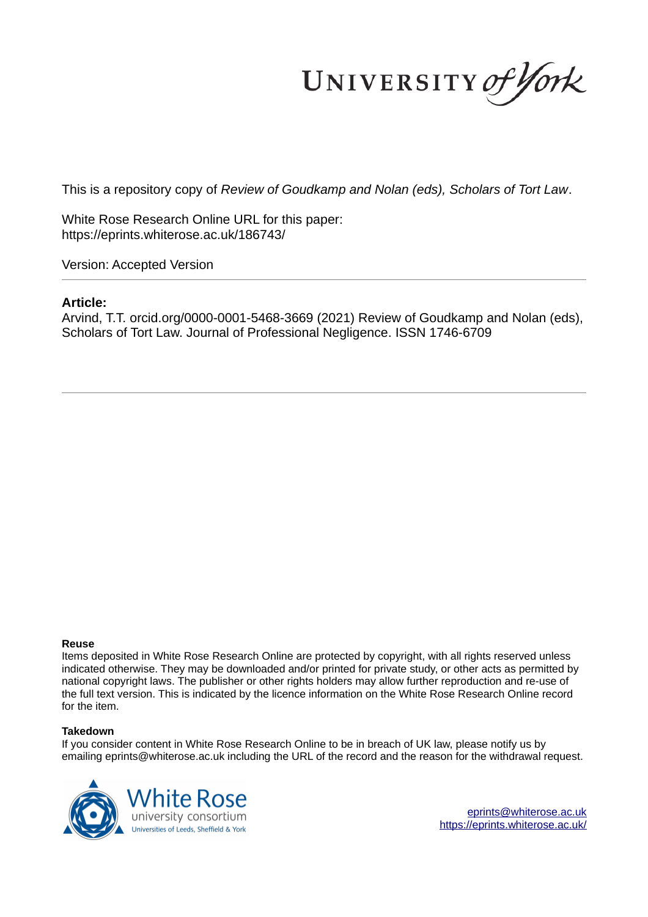UNIVERSITY of York

This is a repository copy of *Review of Goudkamp and Nolan (eds), Scholars of Tort Law*.

White Rose Research Online URL for this paper: https://eprints.whiterose.ac.uk/186743/

Version: Accepted Version

## **Article:**

Arvind, T.T. orcid.org/0000-0001-5468-3669 (2021) Review of Goudkamp and Nolan (eds), Scholars of Tort Law. Journal of Professional Negligence. ISSN 1746-6709

## **Reuse**

Items deposited in White Rose Research Online are protected by copyright, with all rights reserved unless indicated otherwise. They may be downloaded and/or printed for private study, or other acts as permitted by national copyright laws. The publisher or other rights holders may allow further reproduction and re-use of the full text version. This is indicated by the licence information on the White Rose Research Online record for the item.

## **Takedown**

If you consider content in White Rose Research Online to be in breach of UK law, please notify us by emailing eprints@whiterose.ac.uk including the URL of the record and the reason for the withdrawal request.



eprints@whiterose.ac.uk https://eprints.whiterose.ac.uk/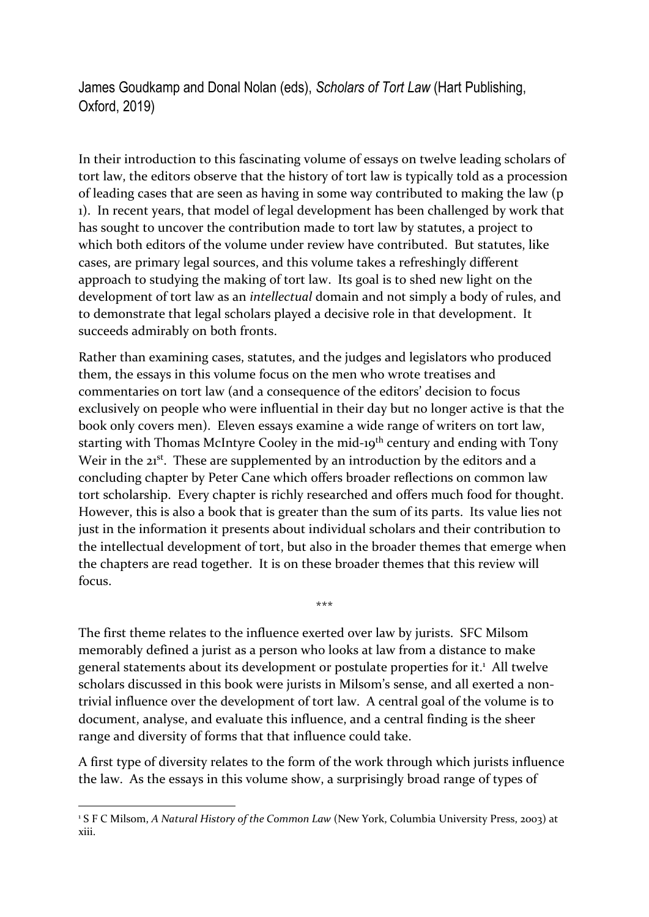James Goudkamp and Donal Nolan (eds), *Scholars of Tort Law* (Hart Publishing, Oxford, 2019)

In their introduction to this fascinating volume of essays on twelve leading scholars of tort law, the editors observe that the history of tort law is typically told as a procession of leading cases that are seen as having in some way contributed to making the law (p 1). In recent years, that model of legal development has been challenged by work that has sought to uncover the contribution made to tort law by statutes, a project to which both editors of the volume under review have contributed. But statutes, like cases, are primary legal sources, and this volume takes a refreshingly different approach to studying the making of tort law. Its goal is to shed new light on the development of tort law as an *intellectual* domain and not simply a body of rules, and to demonstrate that legal scholars played a decisive role in that development. It succeeds admirably on both fronts.

Rather than examining cases, statutes, and the judges and legislators who produced them, the essays in this volume focus on the men who wrote treatises and commentaries on tort law (and a consequence of the editors' decision to focus exclusively on people who were influential in their day but no longer active is that the book only covers men). Eleven essays examine a wide range of writers on tort law, starting with Thomas McIntyre Cooley in the mid-19<sup>th</sup> century and ending with Tony Weir in the 21<sup>st</sup>. These are supplemented by an introduction by the editors and a concluding chapter by Peter Cane which offers broader reflections on common law tort scholarship. Every chapter is richly researched and offers much food for thought. However, this is also a book that is greater than the sum of its parts. Its value lies not just in the information it presents about individual scholars and their contribution to the intellectual development of tort, but also in the broader themes that emerge when the chapters are read together. It is on these broader themes that this review will focus.

The first theme relates to the influence exerted over law by jurists. SFC Milsom memorably defined a jurist as a person who looks at law from a distance to make general statements about its development or postulate properties for it.<sup>1</sup> All twelve scholars discussed in this book were jurists in Milsom's sense, and all exerted a nontrivial influence over the development of tort law. A central goal of the volume is to document, analyse, and evaluate this influence, and a central finding is the sheer range and diversity of forms that that influence could take.

\*\*\*

A first type of diversity relates to the form of the work through which jurists influence the law. As the essays in this volume show, a surprisingly broad range of types of

<sup>&</sup>lt;u>.</u> 1 S F C Milsom, *A Natural History of the Common Law* (New York, Columbia University Press, 2003) at xiii.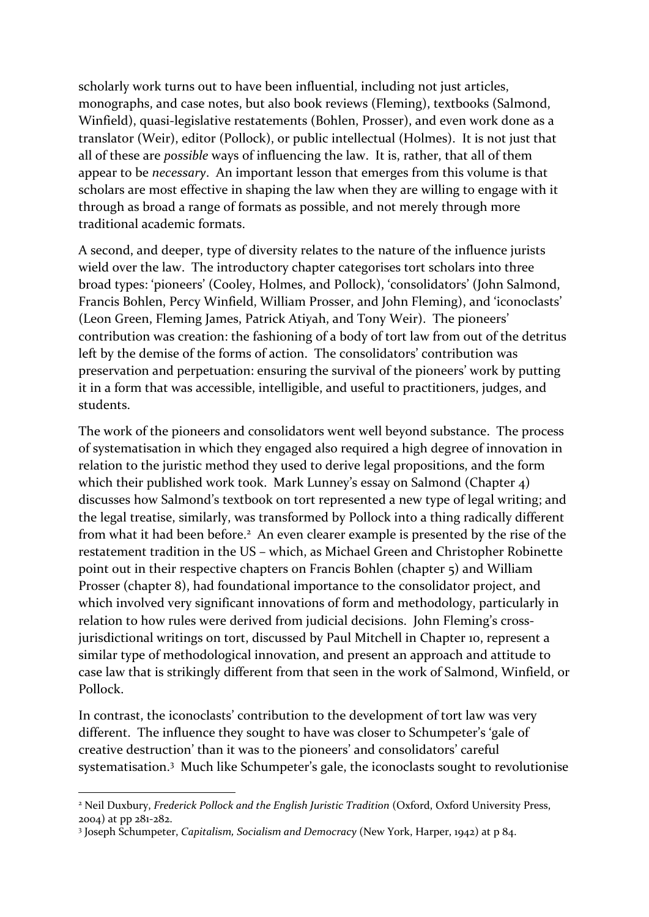scholarly work turns out to have been influential, including not just articles, monographs, and case notes, but also book reviews (Fleming), textbooks (Salmond, Winfield), quasi-legislative restatements (Bohlen, Prosser), and even work done as a translator (Weir), editor (Pollock), or public intellectual (Holmes). It is not just that all of these are *possible* ways of influencing the law. It is, rather, that all of them appear to be *necessary*. An important lesson that emerges from this volume is that scholars are most effective in shaping the law when they are willing to engage with it through as broad a range of formats as possible, and not merely through more traditional academic formats.

A second, and deeper, type of diversity relates to the nature of the influence jurists wield over the law. The introductory chapter categorises tort scholars into three broad types: 'pioneers' (Cooley, Holmes, and Pollock), 'consolidators' (John Salmond, Francis Bohlen, Percy Winfield, William Prosser, and John Fleming), and 'iconoclasts' (Leon Green, Fleming James, Patrick Atiyah, and Tony Weir). The pioneers' contribution was creation: the fashioning of a body of tort law from out of the detritus left by the demise of the forms of action. The consolidators' contribution was preservation and perpetuation: ensuring the survival of the pioneers' work by putting it in a form that was accessible, intelligible, and useful to practitioners, judges, and students.

<span id="page-2-0"></span>The work of the pioneers and consolidators went well beyond substance. The process of systematisation in which they engaged also required a high degree of innovation in relation to the juristic method they used to derive legal propositions, and the form which their published work took. Mark Lunney's essay on Salmond (Chapter 4) discusses how Salmond's textbook on tort represented a new type of legal writing; and the legal treatise, similarly, was transformed by Pollock into a thing radically different from what it had been before.<sup>2</sup> An even clearer example is presented by the rise of the restatement tradition in the US – which, as Michael Green and Christopher Robinette point out in their respective chapters on Francis Bohlen (chapter 5) and William Prosser (chapter 8), had foundational importance to the consolidator project, and which involved very significant innovations of form and methodology, particularly in relation to how rules were derived from judicial decisions. John Fleming's crossjurisdictional writings on tort, discussed by Paul Mitchell in Chapter 10, represent a similar type of methodological innovation, and present an approach and attitude to case law that is strikingly different from that seen in the work of Salmond, Winfield, or Pollock.

In contrast, the iconoclasts' contribution to the development of tort law was very different. The influence they sought to have was closer to Schumpeter's 'gale of creative destruction' than it was to the pioneers' and consolidators' careful systematisation.<sup>3</sup> Much like Schumpeter's gale, the iconoclasts sought to revolutionise

<sup>2</sup> Neil Duxbury, *Frederick Pollock and the English Juristic Tradition* (Oxford, Oxford University Press, 2004) at pp 281-282.

<sup>3</sup> Joseph Schumpeter, *Capitalism, Socialism and Democracy* (New York, Harper, 1942) at p 84.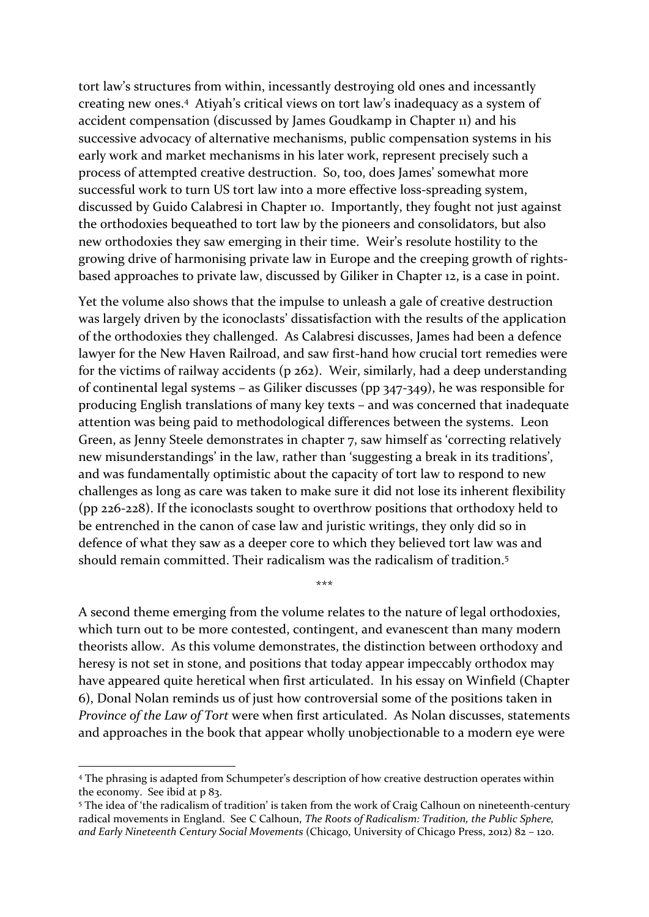tort law's structures from within, incessantly destroying old ones and incessantly creating new ones.<sup>4</sup> Atiyah's critical views on tort law's inadequacy as a system of accident compensation (discussed by James Goudkamp in Chapter 11) and his successive advocacy of alternative mechanisms, public compensation systems in his early work and market mechanisms in his later work, represent precisely such a process of attempted creative destruction. So, too, does James' somewhat more successful work to turn US tort law into a more effective loss-spreading system, discussed by Guido Calabresi in Chapter 10. Importantly, they fought not just against the orthodoxies bequeathed to tort law by the pioneers and consolidators, but also new orthodoxies they saw emerging in their time. Weir's resolute hostility to the growing drive of harmonising private law in Europe and the creeping growth of rightsbased approaches to private law, discussed by Giliker in Chapter 12, is a case in point.

Yet the volume also shows that the impulse to unleash a gale of creative destruction was largely driven by the iconoclasts' dissatisfaction with the results of the application of the orthodoxies they challenged. As Calabresi discusses, James had been a defence lawyer for the New Haven Railroad, and saw first-hand how crucial tort remedies were for the victims of railway accidents (p 262). Weir, similarly, had a deep understanding of continental legal systems – as Giliker discusses (pp 347-349), he was responsible for producing English translations of many key texts – and was concerned that inadequate attention was being paid to methodological differences between the systems. Leon Green, as Jenny Steele demonstrates in chapter 7, saw himself as 'correcting relatively new misunderstandings' in the law, rather than 'suggesting a break in its traditions', and was fundamentally optimistic about the capacity of tort law to respond to new challenges as long as care was taken to make sure it did not lose its inherent flexibility (pp 226-228). If the iconoclasts sought to overthrow positions that orthodoxy held to be entrenched in the canon of case law and juristic writings, they only did so in defence of what they saw as a deeper core to which they believed tort law was and should remain committed. Their radicalism was the radicalism of tradition <sup>5</sup>

A second theme emerging from the volume relates to the nature of legal orthodoxies, which turn out to be more contested, contingent, and evanescent than many modern theorists allow. As this volume demonstrates, the distinction between orthodoxy and heresy is not set in stone, and positions that today appear impeccably orthodox may have appeared quite heretical when first articulated. In his essay on Winfield (Chapter 6), Donal Nolan reminds us of just how controversial some of the positions taken in *Province of the Law of Tort* were when first articulated. As Nolan discusses, statements and approaches in the book that appear wholly unobjectionable to a modern eye were

\*\*\*

<sup>4</sup> The phrasing is adapted from Schumpeter's description of how creative destruction operates within the economy. See ibid at p 83.

<sup>5</sup> The idea of 'the radicalism of tradition' is taken from the work of Craig Calhoun on nineteenth-century radical movements in England. See C Calhoun, *The Roots of Radicalism: Tradition, the Public Sphere, and Early Nineteenth Century Social Movements* (Chicago, University of Chicago Press, 2012) 82 – 120.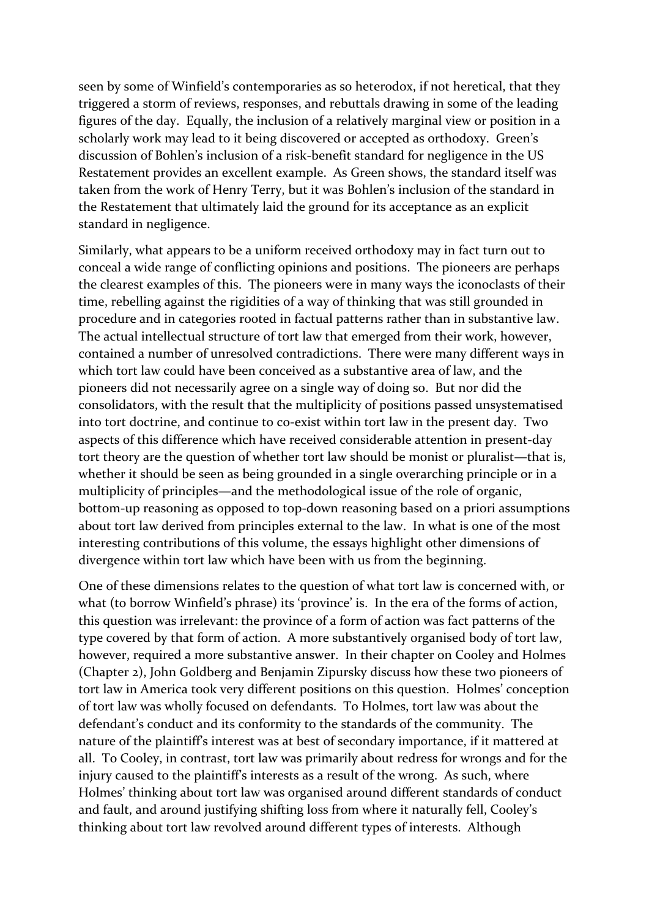seen by some of Winfield's contemporaries as so heterodox, if not heretical, that they triggered a storm of reviews, responses, and rebuttals drawing in some of the leading figures of the day. Equally, the inclusion of a relatively marginal view or position in a scholarly work may lead to it being discovered or accepted as orthodoxy. Green's discussion of Bohlen's inclusion of a risk-benefit standard for negligence in the US Restatement provides an excellent example. As Green shows, the standard itself was taken from the work of Henry Terry, but it was Bohlen's inclusion of the standard in the Restatement that ultimately laid the ground for its acceptance as an explicit standard in negligence.

Similarly, what appears to be a uniform received orthodoxy may in fact turn out to conceal a wide range of conflicting opinions and positions. The pioneers are perhaps the clearest examples of this. The pioneers were in many ways the iconoclasts of their time, rebelling against the rigidities of a way of thinking that was still grounded in procedure and in categories rooted in factual patterns rather than in substantive law. The actual intellectual structure of tort law that emerged from their work, however, contained a number of unresolved contradictions. There were many different ways in which tort law could have been conceived as a substantive area of law, and the pioneers did not necessarily agree on a single way of doing so. But nor did the consolidators, with the result that the multiplicity of positions passed unsystematised into tort doctrine, and continue to co-exist within tort law in the present day. Two aspects of this difference which have received considerable attention in present-day tort theory are the question of whether tort law should be monist or pluralist—that is, whether it should be seen as being grounded in a single overarching principle or in a multiplicity of principles—and the methodological issue of the role of organic, bottom-up reasoning as opposed to top-down reasoning based on a priori assumptions about tort law derived from principles external to the law. In what is one of the most interesting contributions of this volume, the essays highlight other dimensions of divergence within tort law which have been with us from the beginning.

One of these dimensions relates to the question of what tort law is concerned with, or what (to borrow Winfield's phrase) its 'province' is. In the era of the forms of action, this question was irrelevant: the province of a form of action was fact patterns of the type covered by that form of action. A more substantively organised body of tort law, however, required a more substantive answer. In their chapter on Cooley and Holmes (Chapter 2), John Goldberg and Benjamin Zipursky discuss how these two pioneers of tort law in America took very different positions on this question. Holmes' conception of tort law was wholly focused on defendants. To Holmes, tort law was about the defendant's conduct and its conformity to the standards of the community. The nature of the plaintiff's interest was at best of secondary importance, if it mattered at all. To Cooley, in contrast, tort law was primarily about redress for wrongs and for the injury caused to the plaintiff's interests as a result of the wrong. As such, where Holmes' thinking about tort law was organised around different standards of conduct and fault, and around justifying shifting loss from where it naturally fell, Cooley's thinking about tort law revolved around different types of interests. Although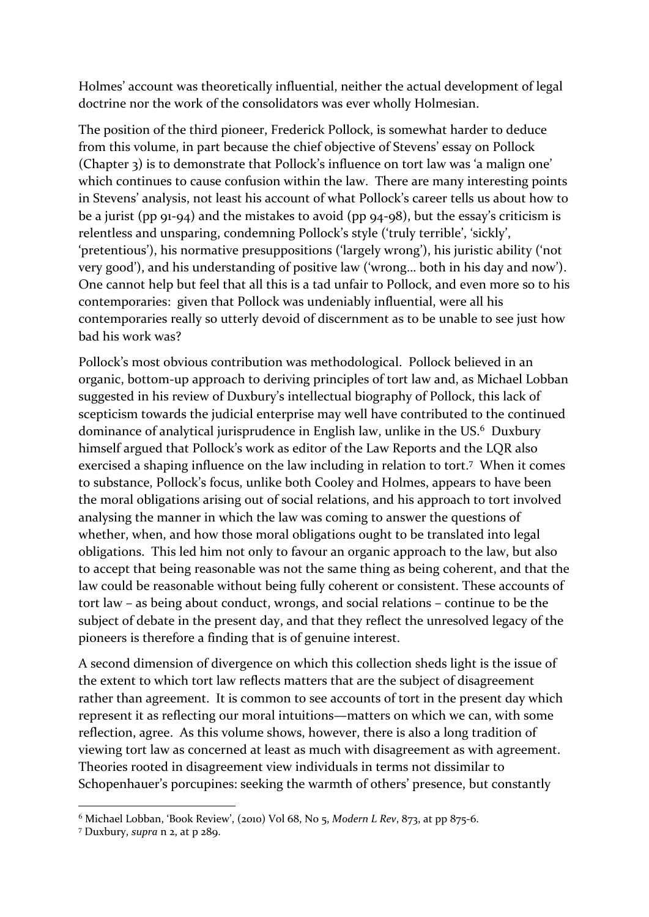Holmes' account was theoretically influential, neither the actual development of legal doctrine nor the work of the consolidators was ever wholly Holmesian.

The position of the third pioneer, Frederick Pollock, is somewhat harder to deduce from this volume, in part because the chief objective of Stevens' essay on Pollock (Chapter 3) is to demonstrate that Pollock's influence on tort law was 'a malign one' which continues to cause confusion within the law. There are many interesting points in Stevens' analysis, not least his account of what Pollock's career tells us about how to be a jurist (pp 91-94) and the mistakes to avoid (pp 94-98), but the essay's criticism is relentless and unsparing, condemning Pollock's style ('truly terrible', 'sickly', 'pretentious'), his normative presuppositions ('largely wrong'), his juristic ability ('not very good'), and his understanding of positive law ('wrong… both in his day and now'). One cannot help but feel that all this is a tad unfair to Pollock, and even more so to his contemporaries: given that Pollock was undeniably influential, were all his contemporaries really so utterly devoid of discernment as to be unable to see just how bad his work was?

Pollock's most obvious contribution was methodological. Pollock believed in an organic, bottom-up approach to deriving principles of tort law and, as Michael Lobban suggested in his review of Duxbury's intellectual biography of Pollock, this lack of scepticism towards the judicial enterprise may well have contributed to the continued dominance of analytical jurisprudence in English law, unlike in the US.<sup>6</sup> Duxbury himself argued that Pollock's work as editor of the Law Reports and the LQR also exercised a shaping influence on the law including in relation to tort.<sup>7</sup> When it comes to substance, Pollock's focus, unlike both Cooley and Holmes, appears to have been the moral obligations arising out of social relations, and his approach to tort involved analysing the manner in which the law was coming to answer the questions of whether, when, and how those moral obligations ought to be translated into legal obligations. This led him not only to favour an organic approach to the law, but also to accept that being reasonable was not the same thing as being coherent, and that the law could be reasonable without being fully coherent or consistent. These accounts of tort law – as being about conduct, wrongs, and social relations – continue to be the subject of debate in the present day, and that they reflect the unresolved legacy of the pioneers is therefore a finding that is of genuine interest.

A second dimension of divergence on which this collection sheds light is the issue of the extent to which tort law reflects matters that are the subject of disagreement rather than agreement. It is common to see accounts of tort in the present day which represent it as reflecting our moral intuitions—matters on which we can, with some reflection, agree. As this volume shows, however, there is also a long tradition of viewing tort law as concerned at least as much with disagreement as with agreement. Theories rooted in disagreement view individuals in terms not dissimilar to Schopenhauer's porcupines: seeking the warmth of others' presence, but constantly

<sup>6</sup> Michael Lobban, 'Book Review', (2010) Vol 68, No 5, *Modern L Rev*, 873, at pp 875-6.

<sup>7</sup> Duxbury, *supra* [n 2,](#page-2-0) at p 289.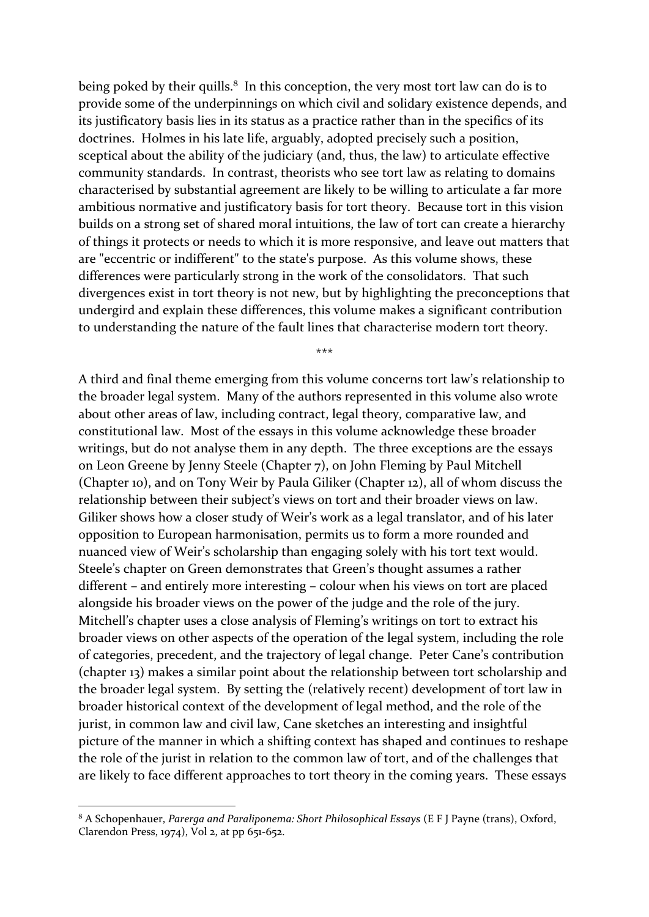being poked by their quills.<sup>8</sup> In this conception, the very most tort law can do is to provide some of the underpinnings on which civil and solidary existence depends, and its justificatory basis lies in its status as a practice rather than in the specifics of its doctrines. Holmes in his late life, arguably, adopted precisely such a position, sceptical about the ability of the judiciary (and, thus, the law) to articulate effective community standards. In contrast, theorists who see tort law as relating to domains characterised by substantial agreement are likely to be willing to articulate a far more ambitious normative and justificatory basis for tort theory. Because tort in this vision builds on a strong set of shared moral intuitions, the law of tort can create a hierarchy of things it protects or needs to which it is more responsive, and leave out matters that are "eccentric or indifferent" to the state's purpose. As this volume shows, these differences were particularly strong in the work of the consolidators. That such divergences exist in tort theory is not new, but by highlighting the preconceptions that undergird and explain these differences, this volume makes a significant contribution to understanding the nature of the fault lines that characterise modern tort theory.

\*\*\*

A third and final theme emerging from this volume concerns tort law's relationship to the broader legal system. Many of the authors represented in this volume also wrote about other areas of law, including contract, legal theory, comparative law, and constitutional law. Most of the essays in this volume acknowledge these broader writings, but do not analyse them in any depth. The three exceptions are the essays on Leon Greene by Jenny Steele (Chapter 7), on John Fleming by Paul Mitchell (Chapter 10), and on Tony Weir by Paula Giliker (Chapter 12), all of whom discuss the relationship between their subject's views on tort and their broader views on law. Giliker shows how a closer study of Weir's work as a legal translator, and of his later opposition to European harmonisation, permits us to form a more rounded and nuanced view of Weir's scholarship than engaging solely with his tort text would. Steele's chapter on Green demonstrates that Green's thought assumes a rather different – and entirely more interesting – colour when his views on tort are placed alongside his broader views on the power of the judge and the role of the jury. Mitchell's chapter uses a close analysis of Fleming's writings on tort to extract his broader views on other aspects of the operation of the legal system, including the role of categories, precedent, and the trajectory of legal change. Peter Cane's contribution (chapter 13) makes a similar point about the relationship between tort scholarship and the broader legal system. By setting the (relatively recent) development of tort law in broader historical context of the development of legal method, and the role of the jurist, in common law and civil law, Cane sketches an interesting and insightful picture of the manner in which a shifting context has shaped and continues to reshape the role of the jurist in relation to the common law of tort, and of the challenges that are likely to face different approaches to tort theory in the coming years. These essays

<sup>8</sup> A Schopenhauer, *Parerga and Paraliponema: Short Philosophical Essays* (E F J Payne (trans), Oxford, Clarendon Press, 1974), Vol 2, at pp 651-652.